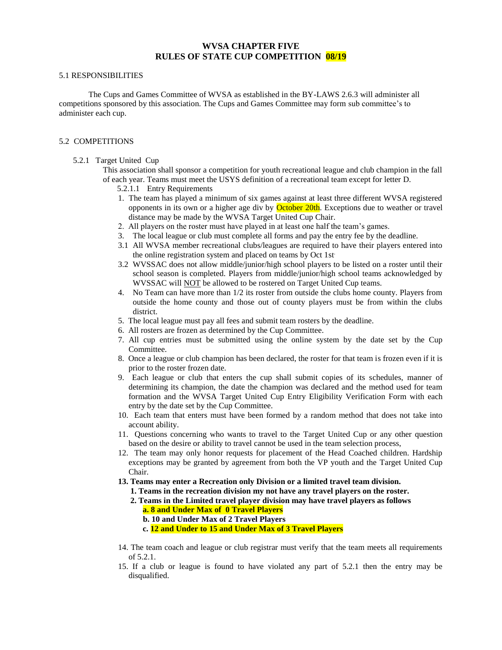## **WVSA CHAPTER FIVE RULES OF STATE CUP COMPETITION 08/19**

#### 5.1 RESPONSIBILITIES

The Cups and Games Committee of WVSA as established in the BY-LAWS 2.6.3 will administer all competitions sponsored by this association. The Cups and Games Committee may form sub committee's to administer each cup.

### 5.2 COMPETITIONS

### 5.2.1 Target United Cup

 This association shall sponsor a competition for youth recreational league and club champion in the fall of each year. Teams must meet the USYS definition of a recreational team except for letter D.

- 5.2.1.1 Entry Requirements
- 1. The team has played a minimum of six games against at least three different WVSA registered opponents in its own or a higher age div by **October 20th**. Exceptions due to weather or travel distance may be made by the WVSA Target United Cup Chair.
- 2. All players on the roster must have played in at least one half the team's games.
- 3. The local league or club must complete all forms and pay the entry fee by the deadline.
- 3.1 All WVSA member recreational clubs/leagues are required to have their players entered into the online registration system and placed on teams by Oct 1st.
- 3.2 WVSSAC does not allow middle/junior/high school players to be listed on a roster until their school season is completed. Players from middle/junior/high school teams acknowledged by WVSSAC will **NOT** be allowed to be rostered on Target United Cup teams.
- 4. No Team can have more than 1/2 its roster from outside the clubs home county. Players from outside the home county and those out of county players must be from within the clubs district.
- 5. The local league must pay all fees and submit team rosters by the deadline.
- 6. All rosters are frozen as determined by the Cup Committee.
- 7. All cup entries must be submitted using the online system by the date set by the Cup Committee.
- 8. Once a league or club champion has been declared, the roster for that team is frozen even if it is prior to the roster frozen date.
- 9. Each league or club that enters the cup shall submit copies of its schedules, manner of determining its champion, the date the champion was declared and the method used for team formation and the WVSA Target United Cup Entry Eligibility Verification Form with each entry by the date set by the Cup Committee.
- 10. Each team that enters must have been formed by a random method that does not take into account ability.
- 11. Questions concerning who wants to travel to the Target United Cup or any other question based on the desire or ability to travel cannot be used in the team selection process,
- 12. The team may only honor requests for placement of the Head Coached children. Hardship exceptions may be granted by agreement from both the VP youth and the Target United Cup Chair.
- **13. Teams may enter a Recreation only Division or a limited travel team division.**
	- **1. Teams in the recreation division my not have any travel players on the roster.**
	- **2. Teams in the Limited travel player division may have travel players as follows a. 8 and Under Max of 0 Travel Players**
		- **b. 10 and Under Max of 2 Travel Players**
		- **c. 12 and Under to 15 and Under Max of 3 Travel Players**
- 14. The team coach and league or club registrar must verify that the team meets all requirements of 5.2.1.
- 15. If a club or league is found to have violated any part of 5.2.1 then the entry may be disqualified.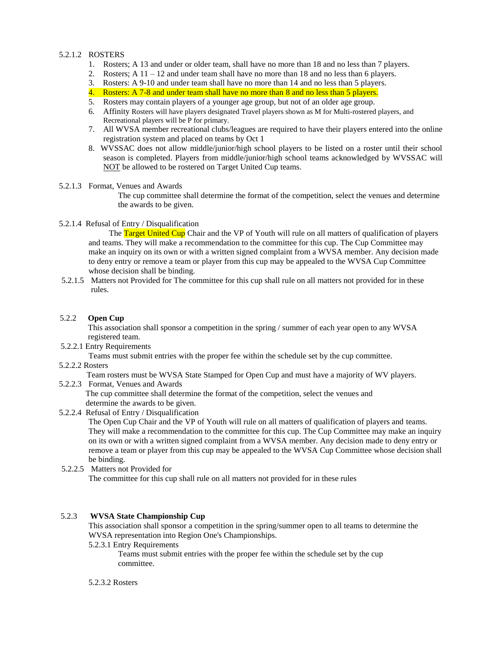# 5.2.1.2 ROSTERS

- 1. Rosters; A 13 and under or older team, shall have no more than 18 and no less than 7 players.
- 2. Rosters;  $A 11 12$  and under team shall have no more than 18 and no less than 6 players.
- 3. Rosters: A 9-10 and under team shall have no more than 14 and no less than 5 players.
- 4. Rosters: A 7-8 and under team shall have no more than 8 and no less than 5 players.
- 5. Rosters may contain players of a younger age group, but not of an older age group.
- 6. Affinity Rosters will have players designated Travel players shown as M for Multi-rostered players, and Recreational players will be P for primary.
- 7. All WVSA member recreational clubs/leagues are required to have their players entered into the online registration system and placed on teams by Oct 1
- 8. WVSSAC does not allow middle/junior/high school players to be listed on a roster until their school season is completed. Players from middle/junior/high school teams acknowledged by WVSSAC will NOT be allowed to be rostered on Target United Cup teams.

#### 5.2.1.3 Format, Venues and Awards

The cup committee shall determine the format of the competition, select the venues and determine the awards to be given.

### 5.2.1.4 Refusal of Entry / Disqualification

The Target United Cup Chair and the VP of Youth will rule on all matters of qualification of players and teams. They will make a recommendation to the committee for this cup. The Cup Committee may make an inquiry on its own or with a written signed complaint from a WVSA member. Any decision made to deny entry or remove a team or player from this cup may be appealed to the WVSA Cup Committee whose decision shall be binding.

5.2.1.5 Matters not Provided for The committee for this cup shall rule on all matters not provided for in these rules.

## 5.2.2 **Open Cup**

This association shall sponsor a competition in the spring / summer of each year open to any WVSA registered team.

5.2.2.1 Entry Requirements

Teams must submit entries with the proper fee within the schedule set by the cup committee.

5.2.2.2 Rosters

Team rosters must be WVSA State Stamped for Open Cup and must have a majority of WV players.

5.2.2.3 Format, Venues and Awards

 The cup committee shall determine the format of the competition, select the venues and determine the awards to be given.

5.2.2.4 Refusal of Entry / Disqualification

The Open Cup Chair and the VP of Youth will rule on all matters of qualification of players and teams. They will make a recommendation to the committee for this cup. The Cup Committee may make an inquiry on its own or with a written signed complaint from a WVSA member. Any decision made to deny entry or remove a team or player from this cup may be appealed to the WVSA Cup Committee whose decision shall be binding.

## 5.2.2.5 Matters not Provided for

The committee for this cup shall rule on all matters not provided for in these rules

## 5.2.3 **WVSA State Championship Cup**

This association shall sponsor a competition in the spring/summer open to all teams to determine the WVSA representation into Region One's Championships.

5.2.3.1 Entry Requirements

Teams must submit entries with the proper fee within the schedule set by the cup committee.

#### 5.2.3.2 Rosters